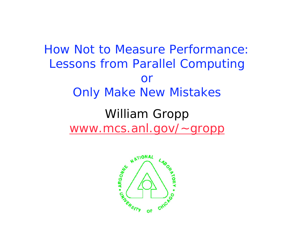How Not to Measure Performance: Lessons from Parallel Computing *or* Only Make New Mistakes William Gropp www.mcs.anl.gov/~gropp

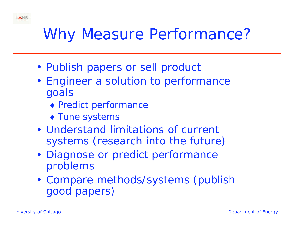#### Why Measure Performance?

- Publish papers or sell product
- Engineer a solution to performance goals
	- ◆ Predict performance
	- ◆ Tune systems
- Understand limitations of current systems (research into the future)
- Diagnose or predict performance problems
- • Compare methods/systems (publish *good* papers)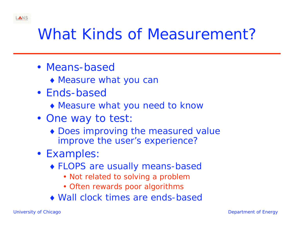#### What Kinds of Measurement?

- Means-based
	- Measure what you can
- Ends-based
	- Measure what you need to know
- One way to test:
	- Does improving the measured value improve the user's experience?
- Examples:
	- FLOPS are usually means-based
		- Not related to solving a problem
		- Often rewards poor algorithms
	- Wall clock times are ends-based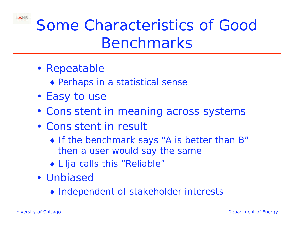

# Some Characteristics of Good Benchmarks

- Repeatable
	- Perhaps in a statistical sense
- Easy to use
- Consistent in meaning across systems
- Consistent in result
	- If the benchmark says "A is better than B" then a user would say the same
	- Lilja calls this "Reliable"
- Unbiased
	- ◆ Independent of stakeholder interests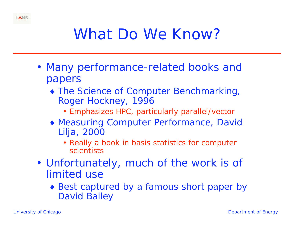

#### What Do We Know?

- Many performance-related books and papers
	- *The Science of Computer Benchmarking*, Roger Hockney, 1996
		- Emphasizes HPC, particularly parallel/vector
	- *Measuring Computer Performance*, David Lilja, 2000
		- Really a book in basis statistics for computer scientists
- Unfortunately, much of the work is of limited use
	- ◆ Best captured by a famous short paper by David Bailey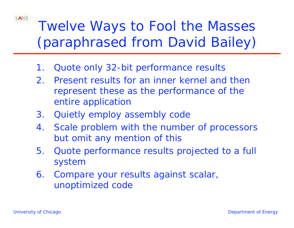LANS

#### Twelve Ways to Fool the Masses (paraphrased from David Bailey)

- 1. Quote only 32-bit performance results
- 2. Present results for an inner kernel and then represent these as the performance of the entire application
- 3. Quietly employ assembly code
- 4. Scale problem with the number of processors but omit any mention of this
- 5. Quote performance results projected to a full system
- 6. Compare your results against scalar, unoptimized code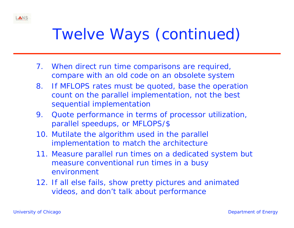

### Twelve Ways (continued)

- 7. When direct run time comparisons are required, compare with an old code on an obsolete system
- 8. If MFLOPS rates must be quoted, base the operation count on the parallel implementation, not the best sequential implementation
- 9. Quote performance in terms of processor utilization, parallel speedups, or MFLOPS/\$
- 10. Mutilate the algorithm used in the parallel implementation to match the architecture
- 11. Measure parallel run times on a dedicated system but measure conventional run times in a busy environment
- 12. If all else fails, show pretty pictures and animated videos, and don't talk about performance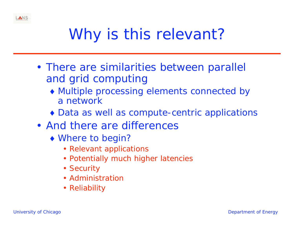

### Why is this relevant?

- There are similarities between parallel and grid computing
	- Multiple processing elements connected by a network
	- Data as well as compute-centric applications
- And there are differences
	- ◆ Where to begin?
		- Relevant applications
		- Potentially much higher latencies
		- Security
		- Administration
		- Reliability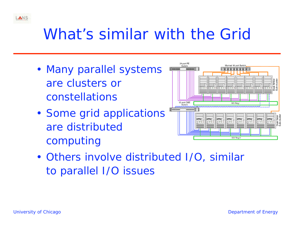#### What's similar with the Grid

- Many parallel systems are clusters or constellations
- Some grid applications are distributed computing



• Others involve distributed I/O, similar to parallel I/O issues

ANS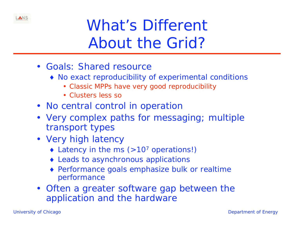What's Different About the Grid?

- Goals: Shared resource
	- No exact reproducibility of experimental conditions
		- Classic MPPs have very good reproducibility
		- Clusters less so
- No central control in operation
- Very complex paths for messaging; multiple transport types
- Very high latency
	- Latency in the ms (>10<sup>7</sup> operations!)
	- Leads to asynchronous applications
	- Performance goals emphasize bulk or realtime performance
- Often a greater software gap between the application and the hardware

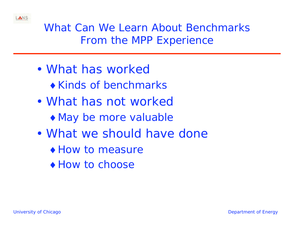

#### What Can We Learn About Benchmarks From the MPP Experience

- What has worked • Kinds of benchmarks
- What has *not* worked
	- May be more valuable
- What we should have done
	- ◆ How to measure
	- ◆ How to choose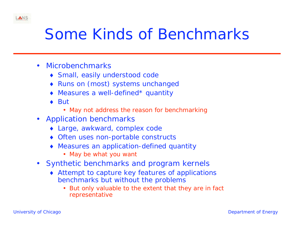

#### Some Kinds of Benchmarks

- $\bullet$  Microbenchmarks
	- Small, easily understood code
	- Runs on (most) systems unchanged
	- Measures a well-defined\* quantity
	- $\triangle$  But
		- May not address the *reason* for benchmarking
- Application benchmarks
	- Large, awkward, complex code
	- ◆ Often uses non-portable constructs
	- Measures an application-defined quantity
		- May be what you want
- Synthetic benchmarks and program kernels
	- Attempt to capture key features of applications benchmarks but without the problems
		- But only valuable to the extent that they are in fact representative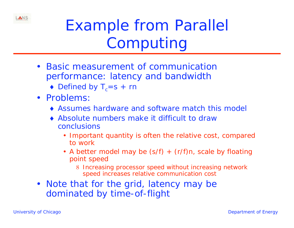

# Example from Parallel Computing

- $\bullet$  Basic measurement of communication performance: latency and bandwidth
	- $\bullet$  Defined by T<sub>c</sub>=s + rn
- Problems:
	- Assumes hardware and software match this model
	- Absolute numbers make it difficult to draw conclusions
		- Important quantity is often the *relative* cost, compared to work
		- A better model may be (s/f) + (r/f)n, scale by floating point speed
			- 8 Increasing processor speed without increasing network speed increases relative communication cost
- Note that for the grid, latency may be dominated by time-of-flight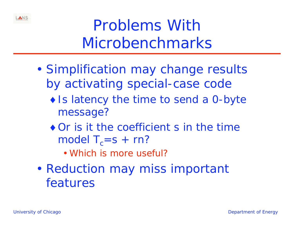

### Problems With Microbenchmarks

- Simplification may change results by activating special-case code
	- Is latency the time to send a 0-byte message?
	- Or is it the coefficient s in the time model  $T_c = s + rn$ ?
		- Which is more useful?
- Reduction may miss important features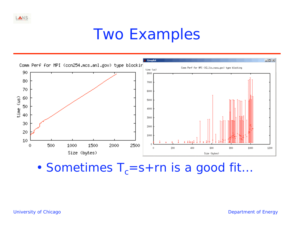



• Sometimes  $T_c = s + r n$  is a good fit...

LANS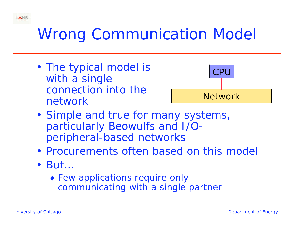### Wrong Communication Model

• The typical model is with a single connection into the network



- Simple and true for many systems, particularly Beowulfs and I/Operipheral-based networks
- Procurements often based on this model
- But…
	- Few applications *require* only communicating with a single partner

**ANS**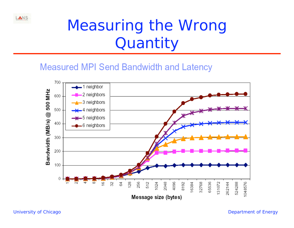

## Measuring the Wrong **Quantity**

#### **Measured MPI Send Bandwidth and Latency**



University of Chicago **Department of Energy**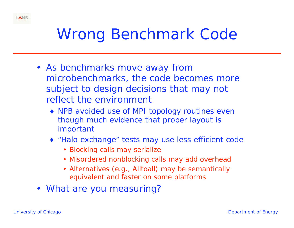

#### Wrong Benchmark Code

- As benchmarks move away from microbenchmarks, the code becomes more subject to design decisions that may not reflect the environment
	- NPB avoided use of MPI topology routines even though much evidence that proper layout is important
	- "Halo exchange" tests may use less efficient code
		- Blocking calls may serialize
		- Misordered nonblocking calls may add overhead
		- Alternatives (e.g., Alltoall) may be semantically equivalent and faster on some platforms
- What are you measuring?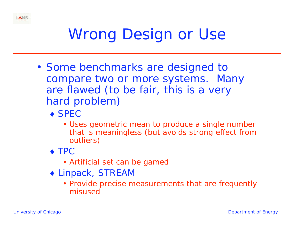

# Wrong Design or Use

- Some benchmarks are designed to compare two or more systems. Many are flawed (to be fair, this is a *very* hard problem)
	- ◆ SPEC
		- Uses geometric mean to produce a single number that is meaningless (but avoids strong effect from outliers)
	- $\triangle$  TPC
		- Artificial set can be gamed
	- Linpack, STREAM
		- Provide precise measurements that are frequently misused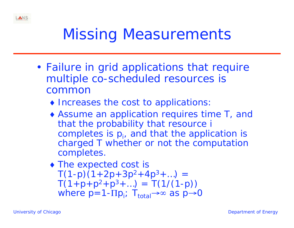

#### Missing Measurements

- Failure in grid applications that require multiple co-scheduled resources is common
	- Increases the cost to applications:
	- Assume an application requires time T, and that the probability that resource i completes is  $p_i$ , and that the application is charged T whether or not the computation completes.
	- The expected cost is  $T(1-p)(1+2p+3p^2+4p^3+...) =$  $T(1+p+p^2+p^3+...) = T(1/(1-p))$ where  $p=1-Iip_i$ ;  $T_{total}\rightarrow\infty$  as  $p\rightarrow 0$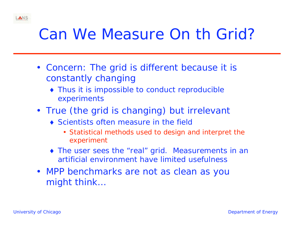#### **ANS**

#### Can We Measure On th Grid?

- Concern: The grid is different because it is constantly changing
	- Thus it is impossible to conduct reproducible experiments
- True (the grid is changing) but irrelevant
	- ◆ Scientists often measure in the field
		- Statistical methods used to design and interpret the experiment
	- The user sees the "real" grid. Measurements in an artificial environment have limited usefulness
- MPP benchmarks are not as clean as you might think…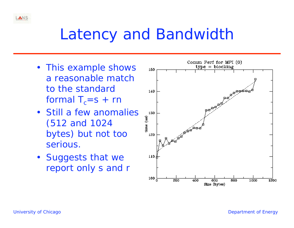

#### Latency and Bandwidth

- This example shows a reasonable match to the standard formal  $T_c = s + rn$
- Still a few anomalies (512 and 1024 bytes) but not too serious.
- Suggests that we report only s and r

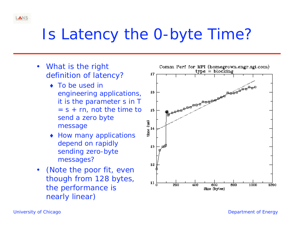#### Is Latency the 0-byte Time?

- $\bullet$  What is the right definition of latency?
	- To be used in engineering applications, it is the parameter s in T  $=$  s + rn, not the time to send a zero byte message
	- ◆ How many applications depend on rapidly sending zero-byte messages?
- $\bullet$  (Note the poor fit, even though from 128 bytes, the performance is nearly linear)

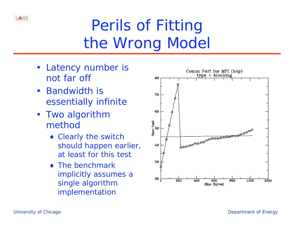

- Latency number is not far off
- $\bullet$  Bandwidth is essentially infinite
- Two algorithm method
	- Clearly the switch should happen earlier, at least for this test
	- The benchmark implicitly assumes a single algorithm implementation



ANS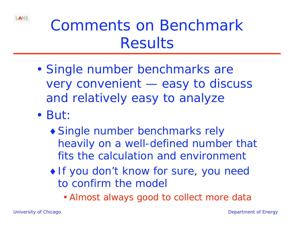

### Comments on Benchmark **Results**

- Single number benchmarks are very convenient — easy to discuss and relatively easy to analyze
- But:
	- Single number benchmarks rely heavily on a well-defined number that fits the calculation and environment
	- **If you don't know for sure, you need** to confirm the model
		- Almost always good to collect more data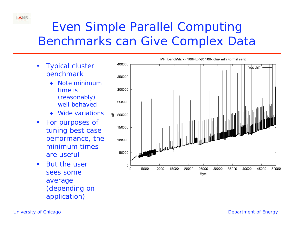#### LANS

#### Even Simple Parallel Computing Benchmarks can Give Complex Data

- • Typical cluster benchmark
	- Note minimum time is (reasonably) well behaved
	- Wide variations
- $\bullet$  For purposes of tuning *best* case performance, the minimum times are useful
- • But the user sees some average (depending on application)

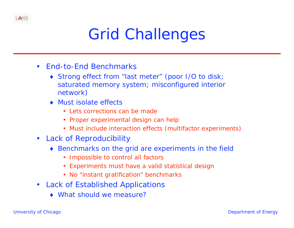

- • End-to-End Benchmarks
	- ◆ Strong effect from "last meter" (poor I/O to disk; saturated memory system; misconfigured interior network)
	- Must isolate effects
		- Lets corrections can be made
		- Proper experimental design can help
		- Must include interaction effects (multifactor experiments)
- $\bullet$  Lack of Reproducibility
	- Benchmarks on the grid are experiments in the field
		- Impossible to control all factors
		- Experiments must have a valid *statistical* design
		- No "instant gratification" benchmarks
- $\bullet$  Lack of Established Applications
	- What should we measure?

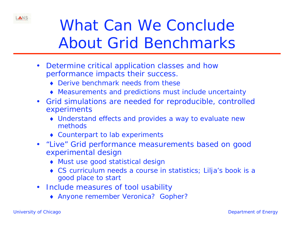

# What Can We Conclude About Grid Benchmarks

- $\bullet$  Determine critical application classes and how performance impacts their success.
	- ◆ Derive benchmark needs from these
	- Measurements and predictions must include uncertainty
- Grid simulations are needed for reproducible, controlled experiments
	- Understand effects and provides a way to evaluate new methods
	- Counterpart to lab experiments
- "Live" Grid performance measurements based on good experimental design
	- Must use good statistical design
	- CS curriculum needs a course in statistics; Lilja's book is a good place to start
- Include measures of tool usability
	- Anyone remember Veronica? Gopher?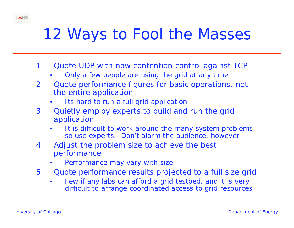#### 12 Ways to Fool the Masses

- 1. Quote UDP with now contention control against TCP
	- •Only a few people are using the grid at any time
- 2. Quote performance figures for basic operations, not the entire application
	- •Its hard to run a full grid application
- 3. Quietly employ experts to build and run the grid application
	- • It is difficult to work around the many system problems, so use experts. Don't alarm the audience, however
- 4. Adjust the problem size to achieve the best performance
	- •Performance may vary with size
- 5. Quote performance results projected to a full size grid
	- • Few if any labs can afford a grid testbed, and it is very difficult to arrange coordinated access to grid resources

LANS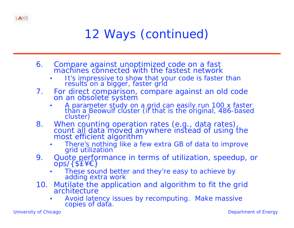

#### 12 Ways (continued)

- 6. Compare against unoptimized code on a fast machines connected with the fastest network
	- •It's impressive to show that your code is faster than results on a bigger, faster grid
- 7. For direct comparison, compare against an old code on an obsolete system
	- •A parameter study on a grid can easily run 100 x faster than a Beowulf cluster (if that is the original, 486-based cluster)
- 8. When counting operation rates (e.g., data rates), count all data moved anywhere instead of using the most efficient algorithm
	- • There's nothing like a few extra GB of data to improve grid utilization
- 9. Quote performance in terms of utilization, speedup, or  $ops/{\{\$\&\}\&\{\} }$ 
	- •These sound better and they're easy to achieve by adding extra work
- 10. Mutilate the application and algorithm to fit the grid architecture
	- •Avoid latency issues by recomputing. Make massive copies of data.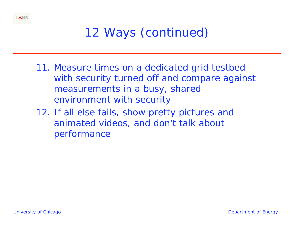

#### 12 Ways (continued)

- 11. Measure times on a dedicated grid testbed with security turned off and compare against measurements in a busy, shared environment with security
- 12. If all else fails, show pretty pictures and animated videos, and don't talk about performance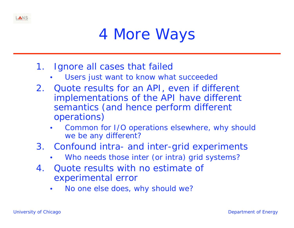### 4 More Ways

- 1. Ignore all cases that failed
	- •Users just want to know what succeeded
- 2. Quote results for an API, even if different implementations of the API have different semantics (and hence perform different operations)
	- • Common for I/O operations elsewhere, why should we be any different?
- 3. Confound intra- and inter-grid experiments
	- •Who needs those inter (or intra) grid systems?
- 4. Quote results with no estimate of experimental error
	- •No one else does, why should we?